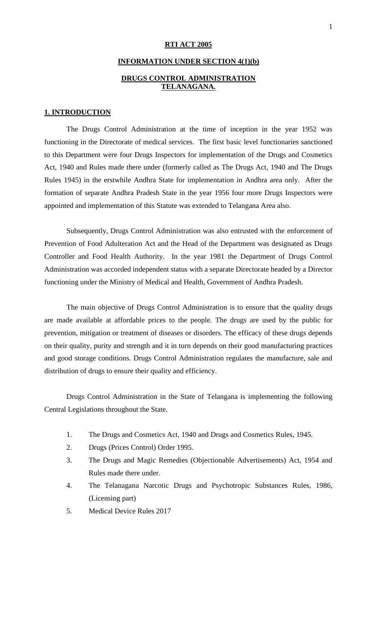#### **RTI ACT 2005**

# **INFORMATION UNDER SECTION 4(1)(b) DRUGS CONTROL ADMINISTRATION TELANAGANA.**

#### **1. INTRODUCTION**

The Drugs Control Administration at the time of inception in the year 1952 was functioning in the Directorate of medical services. The first basic level functionaries sanctioned to this Department were four Drugs Inspectors for implementation of the Drugs and Cosmetics Act, 1940 and Rules made there under (formerly called as The Drugs Act, 1940 and The Drugs Rules 1945) in the erstwhile Andhra State for implementation in Andhra area only. After the formation of separate Andhra Pradesh State in the year 1956 four more Drugs Inspectors were appointed and implementation of this Statute was extended to Telangana Area also.

Subsequently, Drugs Control Administration was also entrusted with the enforcement of Prevention of Food Adulteration Act and the Head of the Department was designated as Drugs Controller and Food Health Authority. In the year 1981 the Department of Drugs Control Administration was accorded independent status with a separate Directorate headed by a Director functioning under the Ministry of Medical and Health, Government of Andhra Pradesh.

The main objective of Drugs Control Administration is to ensure that the quality drugs are made available at affordable prices to the people. The drugs are used by the public for prevention, mitigation or treatment of diseases or disorders. The efficacy of these drugs depends on their quality, purity and strength and it in turn depends on their good manufacturing practices and good storage conditions. Drugs Control Administration regulates the manufacture, sale and distribution of drugs to ensure their quality and efficiency.

Drugs Control Administration in the State of Telangana is implementing the following Central Legislations throughout the State.

- 1. The Drugs and Cosmetics Act, 1940 and Drugs and Cosmetics Rules, 1945.
- 2. Drugs (Prices Control) Order 1995.
- 3. The Drugs and Magic Remedies (Objectionable Advertisements) Act, 1954 and Rules made there under.
- 4. The Telanagana Narcotic Drugs and Psychotropic Substances Rules, 1986, (Licensing part)
- 5. Medical Device Rules 2017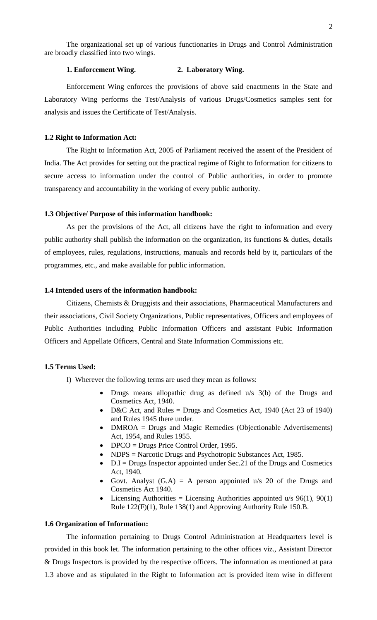The organizational set up of various functionaries in Drugs and Control Administration are broadly classified into two wings.

## **1. Enforcement Wing. 2. Laboratory Wing.**

Enforcement Wing enforces the provisions of above said enactments in the State and Laboratory Wing performs the Test/Analysis of various Drugs/Cosmetics samples sent for analysis and issues the Certificate of Test/Analysis.

#### **1.2 Right to Information Act:**

The Right to Information Act, 2005 of Parliament received the assent of the President of India. The Act provides for setting out the practical regime of Right to Information for citizens to secure access to information under the control of Public authorities, in order to promote transparency and accountability in the working of every public authority.

#### **1.3 Objective/ Purpose of this information handbook:**

As per the provisions of the Act, all citizens have the right to information and every public authority shall publish the information on the organization, its functions & duties, details of employees, rules, regulations, instructions, manuals and records held by it, particulars of the programmes, etc., and make available for public information.

## **1.4 Intended users of the information handbook:**

Citizens, Chemists & Druggists and their associations, Pharmaceutical Manufacturers and their associations, Civil Society Organizations, Public representatives, Officers and employees of Public Authorities including Public Information Officers and assistant Pubic Information Officers and Appellate Officers, Central and State Information Commissions etc.

#### **1.5 Terms Used:**

I) Wherever the following terms are used they mean as follows:

- Drugs means allopathic drug as defined u/s 3(b) of the Drugs and Cosmetics Act, 1940.
- D&C Act, and Rules = Drugs and Cosmetics Act, 1940 (Act 23 of 1940) and Rules 1945 there under.
- DMROA = Drugs and Magic Remedies (Objectionable Advertisements) Act, 1954, and Rules 1955.
- DPCO = Drugs Price Control Order, 1995.
- NDPS = Narcotic Drugs and Psychotropic Substances Act, 1985.
- D.I = Drugs Inspector appointed under Sec. 21 of the Drugs and Cosmetics Act, 1940.
- Govt. Analyst  $(G.A) = A$  person appointed u/s 20 of the Drugs and Cosmetics Act 1940.
- Licensing Authorities = Licensing Authorities appointed  $u/s$  96(1), 90(1) Rule 122(F)(1), Rule 138(1) and Approving Authority Rule 150.B.

#### **1.6 Organization of Information:**

The information pertaining to Drugs Control Administration at Headquarters level is provided in this book let. The information pertaining to the other offices viz., Assistant Director & Drugs Inspectors is provided by the respective officers. The information as mentioned at para 1.3 above and as stipulated in the Right to Information act is provided item wise in different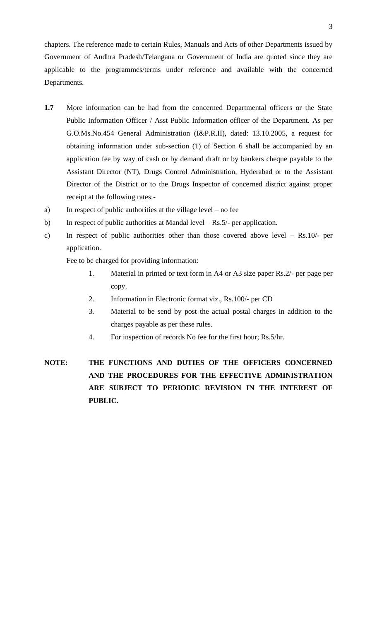chapters. The reference made to certain Rules, Manuals and Acts of other Departments issued by Government of Andhra Pradesh/Telangana or Government of India are quoted since they are applicable to the programmes/terms under reference and available with the concerned Departments.

- **1.7** More information can be had from the concerned Departmental officers or the State Public Information Officer / Asst Public Information officer of the Department. As per G.O.Ms.No.454 General Administration (I&P.R.II), dated: 13.10.2005, a request for obtaining information under sub-section (1) of Section 6 shall be accompanied by an application fee by way of cash or by demand draft or by bankers cheque payable to the Assistant Director (NT), Drugs Control Administration, Hyderabad or to the Assistant Director of the District or to the Drugs Inspector of concerned district against proper receipt at the following rates:-
- a) In respect of public authorities at the village level no fee
- b) In respect of public authorities at Mandal level Rs.5/- per application.
- c) In respect of public authorities other than those covered above level Rs.10/- per application.

Fee to be charged for providing information:

- 1. Material in printed or text form in A4 or A3 size paper Rs.2/- per page per copy.
- 2. Information in Electronic format viz., Rs.100/- per CD
- 3. Material to be send by post the actual postal charges in addition to the charges payable as per these rules.
- 4.For inspection of records No fee for the first hour; Rs.5/hr.
- **NOTE: THE FUNCTIONS AND DUTIES OF THE OFFICERS CONCERNED AND THE PROCEDURES FOR THE EFFECTIVE ADMINISTRATION ARE SUBJECT TO PERIODIC REVISION IN THE INTEREST OF PUBLIC.**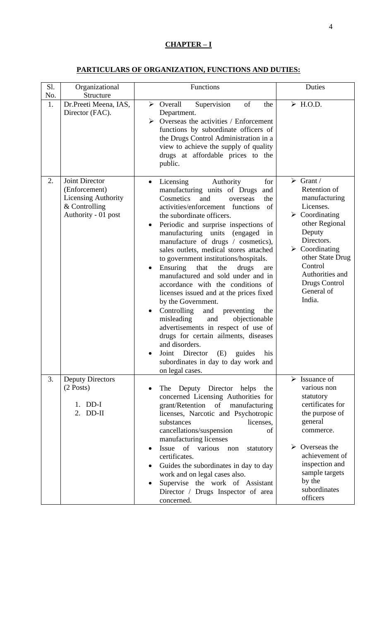# **CHAPTER – I**

# **PARTICULARS OF ORGANIZATION, FUNCTIONS AND DUTIES:**

| Sl.       | Organizational                                                                                   | Functions                                                                                                                                                                                                                                                                                                                                                                                                                                                                                                                                                                                                                                                                                                                                                                                                                                                                     | Duties                                                                                                                                                                                                                                                                        |
|-----------|--------------------------------------------------------------------------------------------------|-------------------------------------------------------------------------------------------------------------------------------------------------------------------------------------------------------------------------------------------------------------------------------------------------------------------------------------------------------------------------------------------------------------------------------------------------------------------------------------------------------------------------------------------------------------------------------------------------------------------------------------------------------------------------------------------------------------------------------------------------------------------------------------------------------------------------------------------------------------------------------|-------------------------------------------------------------------------------------------------------------------------------------------------------------------------------------------------------------------------------------------------------------------------------|
| No.<br>1. | Structure<br>Dr.Preeti Meena, IAS,<br>Director (FAC).                                            | of<br>$\triangleright$ Overall<br>Supervision<br>the<br>Department.<br>Overseas the activities / Enforcement<br>➤<br>functions by subordinate officers of<br>the Drugs Control Administration in a<br>view to achieve the supply of quality<br>drugs at affordable prices to the<br>public.                                                                                                                                                                                                                                                                                                                                                                                                                                                                                                                                                                                   | $\triangleright$ H.O.D.                                                                                                                                                                                                                                                       |
| 2.        | Joint Director<br>(Enforcement)<br>Licensing Authority<br>$&$ Controlling<br>Authority - 01 post | Licensing<br>Authority<br>for<br>$\bullet$<br>manufacturing units of Drugs<br>and<br>Cosmetics<br>and<br>the<br>overseas<br>activities/enforcement functions<br>of<br>the subordinate officers.<br>Periodic and surprise inspections of<br>manufacturing units (engaged<br>in<br>manufacture of drugs / cosmetics),<br>sales outlets, medical stores attached<br>to government institutions/hospitals.<br>Ensuring<br>that<br>the<br>drugs<br>are<br>manufactured and sold under and in<br>accordance with the conditions of<br>licenses issued and at the prices fixed<br>by the Government.<br>Controlling<br>and<br>preventing<br>the<br>misleading<br>and<br>objectionable<br>advertisements in respect of use of<br>drugs for certain ailments, diseases<br>and disorders.<br>Joint Director (E) guides<br>his<br>subordinates in day to day work and<br>on legal cases. | $\triangleright$ Grant /<br>Retention of<br>manufacturing<br>Licenses.<br>$\triangleright$ Coordinating<br>other Regional<br>Deputy<br>Directors.<br>$\triangleright$ Coordinating<br>other State Drug<br>Control<br>Authorities and<br>Drugs Control<br>General of<br>India. |
| 3.        | <b>Deputy Directors</b><br>$(2$ Posts)<br>1. DD-I<br>$2.$ DD-II                                  | Deputy Director helps<br>The<br>the<br>concerned Licensing Authorities for<br>grant/Retention of<br>manufacturing<br>licenses, Narcotic and Psychotropic<br>substances<br>licenses,<br>cancellations/suspension<br>of<br>manufacturing licenses<br>Issue of various<br>non<br>statutory<br>certificates.<br>Guides the subordinates in day to day<br>work and on legal cases also.<br>Supervise the work of Assistant<br>Director / Drugs Inspector of area<br>concerned.                                                                                                                                                                                                                                                                                                                                                                                                     | $\triangleright$ Issuance of<br>various non<br>statutory<br>certificates for<br>the purpose of<br>general<br>commerce.<br>Overseas the<br>➤<br>achievement of<br>inspection and<br>sample targets<br>by the<br>subordinates<br>officers                                       |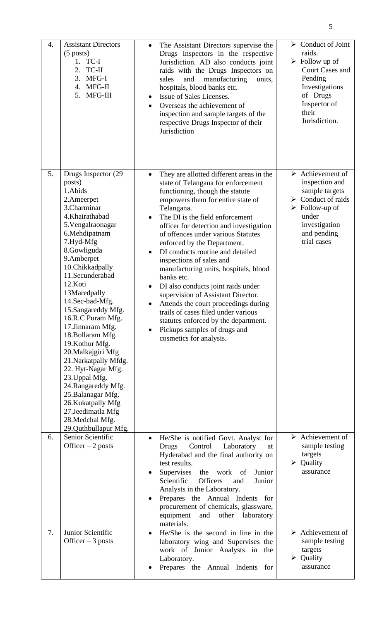| 4. | <b>Assistant Directors</b><br>$(5$ posts)<br>1. TC-I<br>TC-II<br>2.<br>MFG-I<br>3.<br>4. MFG-II<br>MFG-III<br>5.                                                                                                                                                                                                                                                                                                                                                                                                                                                                              | The Assistant Directors supervise the<br>$\bullet$<br>Drugs Inspectors in the respective<br>Jurisdiction. AD also conducts joint<br>raids with the Drugs Inspectors on<br>and<br>manufacturing<br>units,<br>sales<br>hospitals, blood banks etc.<br>Issue of Sales Licenses.<br>Overseas the achievement of<br>inspection and sample targets of the<br>respective Drugs Inspector of their<br>Jurisdiction                                                                                                                                                                                                                                                                                                                             | $\triangleright$ Conduct of Joint<br>raids.<br>$\triangleright$ Follow up of<br><b>Court Cases and</b><br>Pending<br>Investigations<br>of Drugs<br>Inspector of<br>their<br>Jurisdiction.         |
|----|-----------------------------------------------------------------------------------------------------------------------------------------------------------------------------------------------------------------------------------------------------------------------------------------------------------------------------------------------------------------------------------------------------------------------------------------------------------------------------------------------------------------------------------------------------------------------------------------------|----------------------------------------------------------------------------------------------------------------------------------------------------------------------------------------------------------------------------------------------------------------------------------------------------------------------------------------------------------------------------------------------------------------------------------------------------------------------------------------------------------------------------------------------------------------------------------------------------------------------------------------------------------------------------------------------------------------------------------------|---------------------------------------------------------------------------------------------------------------------------------------------------------------------------------------------------|
| 5. | Drugs Inspector (29<br>posts)<br>1.Abids<br>2.Ameerpet<br>3.Charminar<br>4.Khairathabad<br>5. Vengalraonagar<br>6.Mehdipatnam<br>7.Hyd-Mfg<br>8.Gowliguda<br>9.Amberpet<br>10.Chikkadpally<br>11.Secunderabad<br>12.Koti<br>13Maredpally<br>14.Sec-bad-Mfg.<br>15.Sangareddy Mfg.<br>16.R.C Puram Mfg.<br>17.Jinnaram Mfg.<br>18. Bollaram Mfg.<br>19. Kothur Mfg.<br>20. Malkajgiri Mfg<br>21. Narkatpally Mfdg.<br>22. Hyt-Nagar Mfg.<br>23. Uppal Mfg.<br>24.Rangareddy Mfg.<br>25. Balanagar Mfg.<br>26. Kukatpally Mfg<br>27.Jeedimatla Mfg<br>28. Medchal Mfg.<br>29. Quthbullapur Mfg. | They are allotted different areas in the<br>$\bullet$<br>state of Telangana for enforcement<br>functioning, though the statute<br>empowers them for entire state of<br>Telangana.<br>The DI is the field enforcement<br>officer for detection and investigation<br>of offences under various Statutes<br>enforced by the Department.<br>DI conducts routine and detailed<br>inspections of sales and<br>manufacturing units, hospitals, blood<br>banks etc.<br>DI also conducts joint raids under<br>$\bullet$<br>supervision of Assistant Director.<br>Attends the court proceedings during<br>trails of cases filed under various<br>statutes enforced by the department.<br>Pickups samples of drugs and<br>cosmetics for analysis. | $\triangleright$ Achievement of<br>inspection and<br>sample targets<br>$\triangleright$ Conduct of raids<br>$\triangleright$ Follow-up of<br>under<br>investigation<br>and pending<br>trial cases |
| 6. | Senior Scientific<br>Officer $-2$ posts                                                                                                                                                                                                                                                                                                                                                                                                                                                                                                                                                       | He/She is notified Govt. Analyst for<br>Control<br>Laboratory<br><b>Drugs</b><br>at<br>Hyderabad and the final authority on<br>test results.<br>Supervises<br>the work of<br>Junior<br>Scientific<br><b>Officers</b><br>Junior<br>and<br>Analysts in the Laboratory.<br>Prepares the Annual Indents for<br>procurement of chemicals, glassware,<br>equipment<br>laboratory<br>and<br>other<br>materials.                                                                                                                                                                                                                                                                                                                               | $\triangleright$ Achievement of<br>sample testing<br>targets<br>$\triangleright$ Quality<br>assurance                                                                                             |
| 7. | Junior Scientific<br>Officer $-3$ posts                                                                                                                                                                                                                                                                                                                                                                                                                                                                                                                                                       | He/She is the second in line in the<br>$\bullet$<br>laboratory wing and Supervises the<br>work of Junior Analysts in the<br>Laboratory.<br>Prepares the Annual Indents for                                                                                                                                                                                                                                                                                                                                                                                                                                                                                                                                                             | $\triangleright$ Achievement of<br>sample testing<br>targets<br>$\triangleright$ Quality<br>assurance                                                                                             |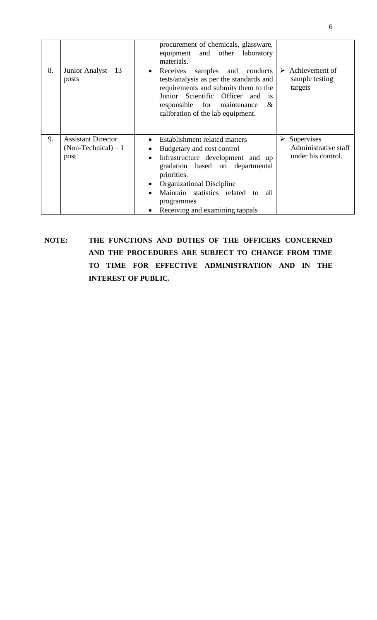|    |                                                            | procurement of chemicals, glassware,<br>equipment and other<br>laboratory<br>materials.                                                                                                                                                                                   |                                                                           |
|----|------------------------------------------------------------|---------------------------------------------------------------------------------------------------------------------------------------------------------------------------------------------------------------------------------------------------------------------------|---------------------------------------------------------------------------|
| 8. | Junior Analyst $-13$<br>posts                              | Receives<br>samples<br>conducts<br>and<br>$\bullet$<br>tests/analysis as per the standards and<br>requirements and submits them to the<br>Junior Scientific Officer<br>and<br><i>is</i><br>responsible for maintenance<br>&<br>calibration of the lab equipment.          | Achievement of<br>➤<br>sample testing<br>targets                          |
| 9. | <b>Assistant Director</b><br>$(Non-Technical) - 1$<br>post | Establishment related matters<br>Budgetary and cost control<br>Infrastructure development and up<br>gradation based on departmental<br>priorities.<br>Organizational Discipline<br>Maintain statistics related to<br>all<br>programmes<br>Receiving and examining tappals | $\triangleright$ Supervises<br>Administrative staff<br>under his control. |

**NOTE: THE FUNCTIONS AND DUTIES OF THE OFFICERS CONCERNED AND THE PROCEDURES ARE SUBJECT TO CHANGE FROM TIME TO TIME FOR EFFECTIVE ADMINISTRATION AND IN THE INTEREST OF PUBLIC.**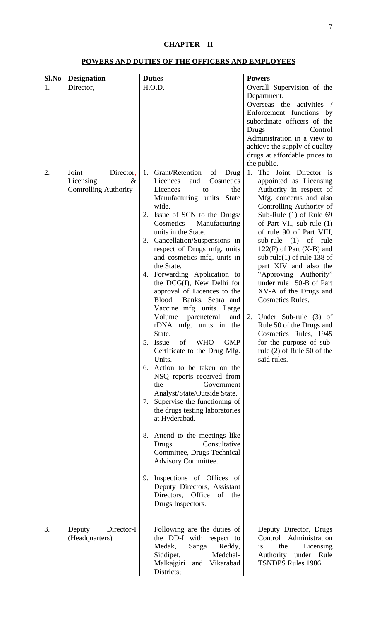# **CHAPTER – II**

# **POWERS AND DUTIES OF THE OFFICERS AND EMPLOYEES**

| Sl.No | <b>Designation</b>           | <b>Duties</b>                                | <b>Powers</b>                                                  |  |  |
|-------|------------------------------|----------------------------------------------|----------------------------------------------------------------|--|--|
| 1.    | Director,                    | H.O.D.                                       | Overall Supervision of the                                     |  |  |
|       |                              |                                              | Department.                                                    |  |  |
|       |                              |                                              | Overseas the activities /                                      |  |  |
|       |                              |                                              | Enforcement functions by                                       |  |  |
|       |                              |                                              | subordinate officers of the                                    |  |  |
|       |                              |                                              | Control<br>Drugs                                               |  |  |
|       |                              |                                              | Administration in a view to                                    |  |  |
|       |                              |                                              | achieve the supply of quality<br>drugs at affordable prices to |  |  |
|       |                              |                                              | the public.                                                    |  |  |
| 2.    | Joint<br>Director,           | 1. Grant/Retention<br>of<br>Drug             | The Joint Director is<br>1.                                    |  |  |
|       | Licensing<br>&               | Licences<br>Cosmetics<br>and                 | appointed as Licensing                                         |  |  |
|       | <b>Controlling Authority</b> | the<br>Licences<br>to                        | Authority in respect of                                        |  |  |
|       |                              | Manufacturing units<br>State                 | Mfg. concerns and also                                         |  |  |
|       |                              | wide.                                        | Controlling Authority of                                       |  |  |
|       |                              | Issue of SCN to the Drugs/<br>2.             | Sub-Rule (1) of Rule 69                                        |  |  |
|       |                              | Cosmetics<br>Manufacturing                   | of Part VII, sub-rule (1)                                      |  |  |
|       |                              | units in the State.                          | of rule 90 of Part VIII,                                       |  |  |
|       |                              | 3. Cancellation/Suspensions in               | sub-rule $(1)$ of<br>rule                                      |  |  |
|       |                              | respect of Drugs mfg. units                  | $122(F)$ of Part (X-B) and                                     |  |  |
|       |                              | and cosmetics mfg. units in<br>the State.    | sub rule(1) of rule 138 of<br>part XIV and also the            |  |  |
|       |                              | 4. Forwarding Application to                 | "Approving Authority"                                          |  |  |
|       |                              | the DCG(I), New Delhi for                    | under rule 150-B of Part                                       |  |  |
|       |                              | approval of Licences to the                  | XV-A of the Drugs and                                          |  |  |
|       |                              | Banks, Seara and<br><b>Blood</b>             | <b>Cosmetics Rules.</b>                                        |  |  |
|       |                              | Vaccine mfg. units. Large                    |                                                                |  |  |
|       |                              | Volume<br>pareneteral<br>and                 | 2. Under Sub-rule (3) of                                       |  |  |
|       |                              | rDNA mfg. units in the                       | Rule 50 of the Drugs and                                       |  |  |
|       |                              | State.                                       | Cosmetics Rules, 1945                                          |  |  |
|       |                              | of<br><b>GMP</b><br>5. Issue<br><b>WHO</b>   | for the purpose of sub-                                        |  |  |
|       |                              | Certificate to the Drug Mfg.                 | rule $(2)$ of Rule 50 of the                                   |  |  |
|       |                              | Units.<br>6. Action to be taken on the       | said rules.                                                    |  |  |
|       |                              | NSQ reports received from                    |                                                                |  |  |
|       |                              | the<br>Government                            |                                                                |  |  |
|       |                              | Analyst/State/Outside State.                 |                                                                |  |  |
|       |                              | 7. Supervise the functioning of              |                                                                |  |  |
|       |                              | the drugs testing laboratories               |                                                                |  |  |
|       |                              | at Hyderabad.                                |                                                                |  |  |
|       |                              |                                              |                                                                |  |  |
|       |                              | 8. Attend to the meetings like               |                                                                |  |  |
|       |                              | Consultative<br>Drugs                        |                                                                |  |  |
|       |                              | Committee, Drugs Technical                   |                                                                |  |  |
|       |                              | Advisory Committee.                          |                                                                |  |  |
|       |                              | 9. Inspections of Offices of                 |                                                                |  |  |
|       |                              | Deputy Directors, Assistant                  |                                                                |  |  |
|       |                              | Directors, Office of the                     |                                                                |  |  |
|       |                              | Drugs Inspectors.                            |                                                                |  |  |
|       |                              |                                              |                                                                |  |  |
|       |                              |                                              |                                                                |  |  |
| 3.    | Director-I<br>Deputy         | Following are the duties of                  | Deputy Director, Drugs                                         |  |  |
|       | (Headquarters)               | the DD-I with respect to<br>Medak,<br>Reddy, | Control Administration<br>the<br>is.                           |  |  |
|       |                              | Sanga<br>Medchal-<br>Siddipet,               | Licensing<br>Authority under Rule                              |  |  |
|       |                              | Malkajgiri and Vikarabad                     | <b>TSNDPS Rules 1986.</b>                                      |  |  |
|       |                              | Districts;                                   |                                                                |  |  |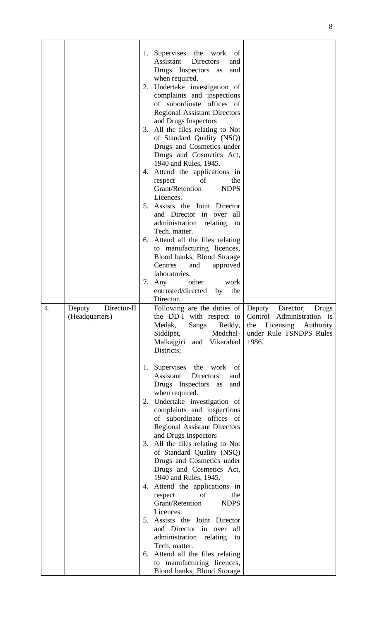|    |                       |    | 1. Supervises the work<br>of<br>Assistant<br>Directors<br>and    |                                                            |
|----|-----------------------|----|------------------------------------------------------------------|------------------------------------------------------------|
|    |                       |    | Drugs Inspectors as<br>and                                       |                                                            |
|    |                       |    | when required.                                                   |                                                            |
|    |                       |    | 2. Undertake investigation of                                    |                                                            |
|    |                       |    | complaints and inspections                                       |                                                            |
|    |                       |    | of subordinate offices of<br><b>Regional Assistant Directors</b> |                                                            |
|    |                       |    | and Drugs Inspectors                                             |                                                            |
|    |                       |    | 3. All the files relating to Not                                 |                                                            |
|    |                       |    | of Standard Quality (NSQ)                                        |                                                            |
|    |                       |    | Drugs and Cosmetics under<br>Drugs and Cosmetics Act,            |                                                            |
|    |                       |    | 1940 and Rules, 1945.                                            |                                                            |
|    |                       |    | 4. Attend the applications in                                    |                                                            |
|    |                       |    | the<br>respect<br>of                                             |                                                            |
|    |                       |    | Grant/Retention<br><b>NDPS</b><br>Licences.                      |                                                            |
|    |                       |    | 5. Assists the Joint Director                                    |                                                            |
|    |                       |    | and Director in over<br>all                                      |                                                            |
|    |                       |    | administration relating<br>to                                    |                                                            |
|    |                       |    | Tech. matter.<br>6. Attend all the files relating                |                                                            |
|    |                       |    | to manufacturing licences,                                       |                                                            |
|    |                       |    | Blood banks, Blood Storage                                       |                                                            |
|    |                       |    | Centres<br>approved<br>and                                       |                                                            |
|    |                       |    | laboratories.<br>other<br>7. Any<br>work                         |                                                            |
|    |                       |    | entrusted/directed<br>the<br>by                                  |                                                            |
|    |                       |    | Director.                                                        |                                                            |
| 4. | Director-II<br>Deputy |    | Following are the duties of Deputy                               | Director,<br>Drugs                                         |
|    | (Headquarters)        |    | the DD-I with respect to<br>Medak,<br>Sanga<br>Reddy,            | Control Administration is<br>Licensing<br>the<br>Authority |
|    |                       |    | Medchal-<br>Siddipet,                                            | under Rule TSNDPS Rules                                    |
|    |                       |    | and Vikarabad<br>Malkajgiri                                      | 1986.                                                      |
|    |                       |    | Districts;                                                       |                                                            |
|    |                       | 1. | Supervises the<br>work<br>of                                     |                                                            |
|    |                       |    | Assistant<br><b>Directors</b><br>and                             |                                                            |
|    |                       |    | Drugs Inspectors as<br>and                                       |                                                            |
|    |                       |    | when required.<br>2. Undertake investigation of                  |                                                            |
|    |                       |    | complaints and inspections                                       |                                                            |
|    |                       |    | of subordinate offices of                                        |                                                            |
|    |                       |    | <b>Regional Assistant Directors</b><br>and Drugs Inspectors      |                                                            |
|    |                       |    | 3. All the files relating to Not                                 |                                                            |
|    |                       |    | of Standard Quality (NSQ)                                        |                                                            |
|    |                       |    | Drugs and Cosmetics under                                        |                                                            |
|    |                       |    | Drugs and Cosmetics Act,<br>1940 and Rules, 1945.                |                                                            |
|    |                       |    | 4. Attend the applications in                                    |                                                            |
|    |                       |    | of<br>the<br>respect                                             |                                                            |
|    |                       |    | Grant/Retention<br><b>NDPS</b><br>Licences.                      |                                                            |
|    |                       |    | 5. Assists the Joint Director                                    |                                                            |
|    |                       |    | and Director in over<br>all                                      |                                                            |
|    |                       |    | administration relating<br>to                                    |                                                            |
|    |                       |    | Tech. matter.<br>6. Attend all the files relating                |                                                            |
|    |                       |    | to manufacturing licences,                                       |                                                            |
|    |                       |    | Blood banks, Blood Storage                                       |                                                            |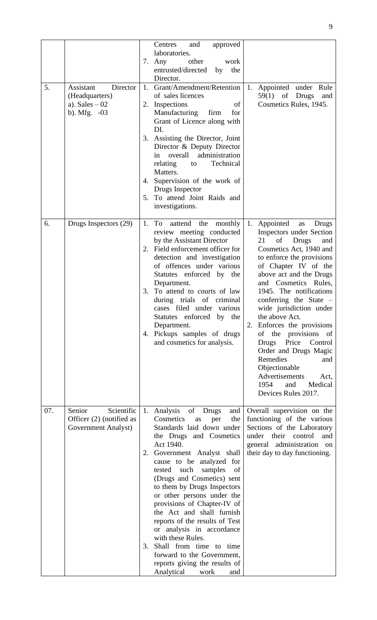|     |                                                                              | Centres<br>and<br>approved<br>laboratories.<br>other<br>7.<br>Any<br>work<br>entrusted/directed<br>the<br>by<br>Director.                                                                                                                                                                                                                                                                                                                                                                                                                                                                                                                                                                                                                                                                                                                                                                                                                                                                                                               |
|-----|------------------------------------------------------------------------------|-----------------------------------------------------------------------------------------------------------------------------------------------------------------------------------------------------------------------------------------------------------------------------------------------------------------------------------------------------------------------------------------------------------------------------------------------------------------------------------------------------------------------------------------------------------------------------------------------------------------------------------------------------------------------------------------------------------------------------------------------------------------------------------------------------------------------------------------------------------------------------------------------------------------------------------------------------------------------------------------------------------------------------------------|
| 5.  | Assistant<br>Director<br>(Headquarters)<br>a). Sales $-02$<br>b). Mfg. $-03$ | Grant/Amendment/Retention<br>1.<br>1.<br>Appointed under Rule<br>of sales licences<br>$59(1)$ of Drugs<br>and<br>Cosmetics Rules, 1945.<br>2. Inspections<br>of<br>Manufacturing<br>firm<br>for<br>Grant of Licence along with<br>DI.<br>3. Assisting the Director, Joint<br>Director & Deputy Director<br>administration<br>overall<br>in<br>Technical<br>relating<br>to<br>Matters.<br>Supervision of the work of<br>4.<br>Drugs Inspector<br>5. To attend Joint Raids and<br>investigations.                                                                                                                                                                                                                                                                                                                                                                                                                                                                                                                                         |
| 6.  | Drugs Inspectors (29)                                                        | 1.<br>Appointed<br>1.<br>To<br>aattend<br>the monthly<br>Drugs<br>as<br>review meeting conducted<br><b>Inspectors under Section</b><br>by the Assistant Director<br>21<br>of<br>Drugs<br>and<br>Field enforcement officer for<br>Cosmetics Act, 1940 and<br>2.<br>detection and investigation<br>to enforce the provisions<br>of offences under various<br>of Chapter IV of the<br>Statutes enforced by the<br>above act and the Drugs<br>and Cosmetics Rules,<br>Department.<br>To attend to courts of law<br>1945. The notifications<br>3.<br>during trials of criminal<br>conferring the State $-$<br>cases filed under various<br>wide jurisdiction under<br>Statutes enforced by the<br>the above Act.<br>Enforces the provisions<br>Department.<br>2.<br>Pickups samples of drugs<br>of the provisions of<br>4.<br>and cosmetics for analysis.<br><b>Drugs</b><br>Price<br>Control<br>Order and Drugs Magic<br>Remedies<br>and<br>Objectionable<br><b>Advertisements</b><br>Act,<br>1954<br>Medical<br>and<br>Devices Rules 2017. |
| 07. | Senior<br>Scientific<br>Officer (2) (notified as<br>Government Analyst)      | Overall supervision on the<br>1. Analysis of Drugs<br>and<br>functioning of the various<br>Cosmetics<br>the<br>as<br>per<br>Standards laid down under<br>Sections of the Laboratory<br>the Drugs and Cosmetics<br>under their<br>control<br>and<br>Act 1940.<br>general administration on<br>their day to day functioning.<br>Government Analyst shall<br>2.<br>cause to be analyzed for<br>tested such<br>samples<br>of<br>(Drugs and Cosmetics) sent<br>to them by Drugs Inspectors<br>or other persons under the<br>provisions of Chapter-IV of<br>the Act and shall furnish<br>reports of the results of Test<br>or analysis in accordance<br>with these Rules.<br>Shall from time to time<br>3.<br>forward to the Government,<br>reports giving the results of<br>Analytical<br>work<br>and                                                                                                                                                                                                                                        |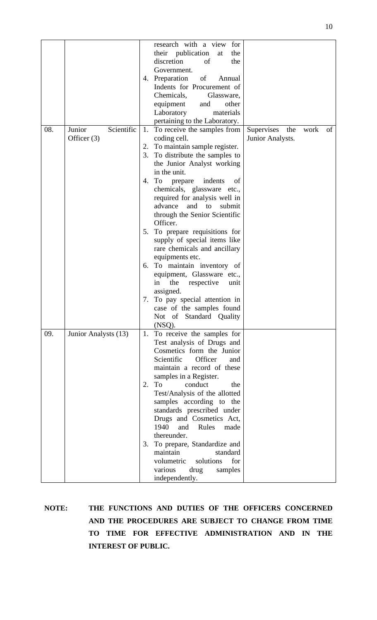|     |                      |    | research with a view<br>for<br>their publication<br>the<br>at |                   |      |    |
|-----|----------------------|----|---------------------------------------------------------------|-------------------|------|----|
|     |                      |    | discretion<br>of<br>the                                       |                   |      |    |
|     |                      |    | Government.                                                   |                   |      |    |
|     |                      |    | 4. Preparation<br>of<br>Annual                                |                   |      |    |
|     |                      |    | Indents for Procurement of                                    |                   |      |    |
|     |                      |    | Chemicals,<br>Glassware,                                      |                   |      |    |
|     |                      |    | equipment<br>and<br>other                                     |                   |      |    |
|     |                      |    | Laboratory<br>materials                                       |                   |      |    |
|     |                      |    | pertaining to the Laboratory.                                 |                   |      |    |
| 08. | Junior<br>Scientific | 1. | To receive the samples from                                   | Supervises<br>the | work | of |
|     | Officer (3)          |    | coding cell.                                                  | Junior Analysts.  |      |    |
|     |                      |    | 2. To maintain sample register.                               |                   |      |    |
|     |                      |    | 3. To distribute the samples to                               |                   |      |    |
|     |                      |    | the Junior Analyst working                                    |                   |      |    |
|     |                      |    | in the unit.                                                  |                   |      |    |
|     |                      | 4. | indents<br>To<br>prepare<br>of                                |                   |      |    |
|     |                      |    | chemicals, glassware etc.,                                    |                   |      |    |
|     |                      |    | required for analysis well in                                 |                   |      |    |
|     |                      |    | and to<br>advance<br>submit                                   |                   |      |    |
|     |                      |    | through the Senior Scientific<br>Officer.                     |                   |      |    |
|     |                      | 5. | To prepare requisitions for                                   |                   |      |    |
|     |                      |    | supply of special items like                                  |                   |      |    |
|     |                      |    | rare chemicals and ancillary                                  |                   |      |    |
|     |                      |    | equipments etc.                                               |                   |      |    |
|     |                      |    | 6. To maintain inventory of                                   |                   |      |    |
|     |                      |    | equipment, Glassware etc.,                                    |                   |      |    |
|     |                      |    | the<br>respective<br>in<br>unit                               |                   |      |    |
|     |                      |    | assigned.                                                     |                   |      |    |
|     |                      | 7. | To pay special attention in                                   |                   |      |    |
|     |                      |    | case of the samples found                                     |                   |      |    |
|     |                      |    | Not of Standard Quality                                       |                   |      |    |
|     |                      |    | (NSQ).                                                        |                   |      |    |
| 09. | Junior Analysts (13) | 1. | To receive the samples for                                    |                   |      |    |
|     |                      |    | Test analysis of Drugs and                                    |                   |      |    |
|     |                      |    | Cosmetics form the Junior                                     |                   |      |    |
|     |                      |    | Scientific<br>Officer<br>and                                  |                   |      |    |
|     |                      |    | maintain a record of these                                    |                   |      |    |
|     |                      |    | samples in a Register.                                        |                   |      |    |
|     |                      |    | 2. To<br>conduct<br>the                                       |                   |      |    |
|     |                      |    | Test/Analysis of the allotted                                 |                   |      |    |
|     |                      |    | samples according to the                                      |                   |      |    |
|     |                      |    | standards prescribed under                                    |                   |      |    |
|     |                      |    | Drugs and Cosmetics Act,                                      |                   |      |    |
|     |                      |    | 1940<br>Rules<br>and<br>made                                  |                   |      |    |
|     |                      |    | thereunder.                                                   |                   |      |    |
|     |                      | 3. | To prepare, Standardize and                                   |                   |      |    |
|     |                      |    | maintain<br>standard<br>volumetric<br>solutions<br>for        |                   |      |    |
|     |                      |    | various                                                       |                   |      |    |
|     |                      |    | drug<br>samples<br>independently.                             |                   |      |    |
|     |                      |    |                                                               |                   |      |    |

**NOTE: THE FUNCTIONS AND DUTIES OF THE OFFICERS CONCERNED AND THE PROCEDURES ARE SUBJECT TO CHANGE FROM TIME TO TIME FOR EFFECTIVE ADMINISTRATION AND IN THE INTEREST OF PUBLIC.**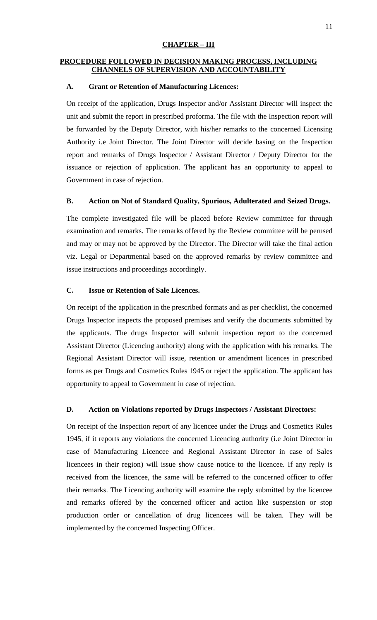#### **CHAPTER – III**

#### **PROCEDURE FOLLOWED IN DECISION MAKING PROCESS, INCLUDING CHANNELS OF SUPERVISION AND ACCOUNTABILITY**

#### **A. Grant or Retention of Manufacturing Licences:**

On receipt of the application, Drugs Inspector and/or Assistant Director will inspect the unit and submit the report in prescribed proforma. The file with the Inspection report will be forwarded by the Deputy Director, with his/her remarks to the concerned Licensing Authority i.e Joint Director. The Joint Director will decide basing on the Inspection report and remarks of Drugs Inspector / Assistant Director / Deputy Director for the issuance or rejection of application. The applicant has an opportunity to appeal to Government in case of rejection.

# **B. Action on Not of Standard Quality, Spurious, Adulterated and Seized Drugs.**

The complete investigated file will be placed before Review committee for through examination and remarks. The remarks offered by the Review committee will be perused and may or may not be approved by the Director. The Director will take the final action viz. Legal or Departmental based on the approved remarks by review committee and issue instructions and proceedings accordingly.

#### **C. Issue or Retention of Sale Licences.**

On receipt of the application in the prescribed formats and as per checklist, the concerned Drugs Inspector inspects the proposed premises and verify the documents submitted by the applicants. The drugs Inspector will submit inspection report to the concerned Assistant Director (Licencing authority) along with the application with his remarks. The Regional Assistant Director will issue, retention or amendment licences in prescribed forms as per Drugs and Cosmetics Rules 1945 or reject the application. The applicant has opportunity to appeal to Government in case of rejection.

#### **D. Action on Violations reported by Drugs Inspectors / Assistant Directors:**

On receipt of the Inspection report of any licencee under the Drugs and Cosmetics Rules 1945, if it reports any violations the concerned Licencing authority (i.e Joint Director in case of Manufacturing Licencee and Regional Assistant Director in case of Sales licencees in their region) will issue show cause notice to the licencee. If any reply is received from the licencee, the same will be referred to the concerned officer to offer their remarks. The Licencing authority will examine the reply submitted by the licencee and remarks offered by the concerned officer and action like suspension or stop production order or cancellation of drug licencees will be taken. They will be implemented by the concerned Inspecting Officer.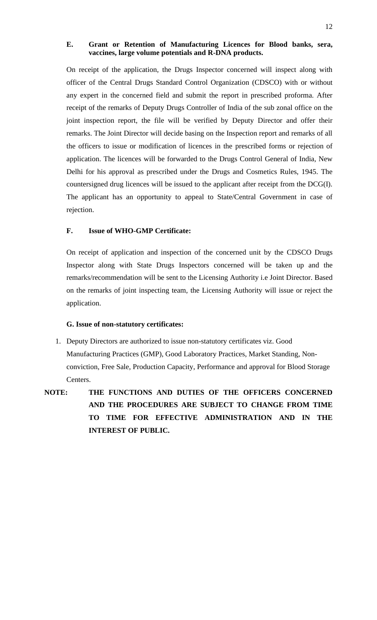#### **E. Grant or Retention of Manufacturing Licences for Blood banks, sera, vaccines, large volume potentials and R-DNA products.**

On receipt of the application, the Drugs Inspector concerned will inspect along with officer of the Central Drugs Standard Control Organization (CDSCO) with or without any expert in the concerned field and submit the report in prescribed proforma. After receipt of the remarks of Deputy Drugs Controller of India of the sub zonal office on the joint inspection report, the file will be verified by Deputy Director and offer their remarks. The Joint Director will decide basing on the Inspection report and remarks of all the officers to issue or modification of licences in the prescribed forms or rejection of application. The licences will be forwarded to the Drugs Control General of India, New Delhi for his approval as prescribed under the Drugs and Cosmetics Rules, 1945. The countersigned drug licences will be issued to the applicant after receipt from the DCG(I). The applicant has an opportunity to appeal to State/Central Government in case of rejection.

## **F. Issue of WHO-GMP Certificate:**

On receipt of application and inspection of the concerned unit by the CDSCO Drugs Inspector along with State Drugs Inspectors concerned will be taken up and the remarks/recommendation will be sent to the Licensing Authority i.e Joint Director. Based on the remarks of joint inspecting team, the Licensing Authority will issue or reject the application.

#### **G. Issue of non-statutory certificates:**

- 1. Deputy Directors are authorized to issue non-statutory certificates viz. Good Manufacturing Practices (GMP), Good Laboratory Practices, Market Standing, Nonconviction, Free Sale, Production Capacity, Performance and approval for Blood Storage Centers.
- **NOTE: THE FUNCTIONS AND DUTIES OF THE OFFICERS CONCERNED AND THE PROCEDURES ARE SUBJECT TO CHANGE FROM TIME TO TIME FOR EFFECTIVE ADMINISTRATION AND IN THE INTEREST OF PUBLIC.**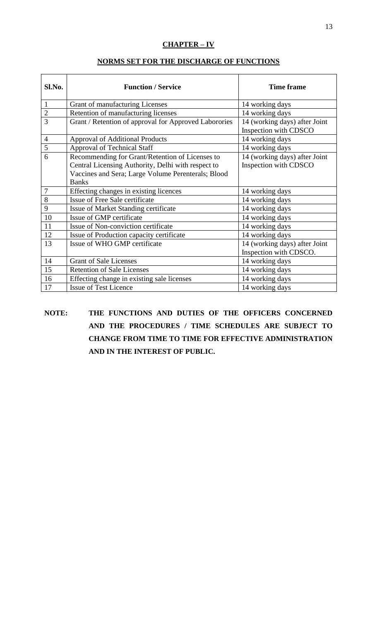# **CHAPTER – IV**

| Sl.No.         | <b>Function / Service</b>                             | <b>Time frame</b>                                       |
|----------------|-------------------------------------------------------|---------------------------------------------------------|
| $\mathbf{1}$   | Grant of manufacturing Licenses                       | 14 working days                                         |
| $\overline{c}$ | Retention of manufacturing licenses                   | 14 working days                                         |
| $\overline{3}$ | Grant / Retention of approval for Approved Laborories | 14 (working days) after Joint<br>Inspection with CDSCO  |
| $\overline{4}$ | <b>Approval of Additional Products</b>                | 14 working days                                         |
| $\overline{5}$ | <b>Approval of Technical Staff</b>                    | 14 working days                                         |
| 6              | Recommending for Grant/Retention of Licenses to       | 14 (working days) after Joint                           |
|                | Central Licensing Authority, Delhi with respect to    | Inspection with CDSCO                                   |
|                | Vaccines and Sera; Large Volume Perenterals; Blood    |                                                         |
|                | <b>Banks</b>                                          |                                                         |
| $\overline{7}$ | Effecting changes in existing licences                | 14 working days                                         |
| 8              | Issue of Free Sale certificate                        | 14 working days                                         |
| 9              | Issue of Market Standing certificate                  | 14 working days                                         |
| 10             | Issue of GMP certificate                              | 14 working days                                         |
| 11             | Issue of Non-conviction certificate                   | 14 working days                                         |
| 12             | Issue of Production capacity certificate              | 14 working days                                         |
| 13             | Issue of WHO GMP certificate                          | 14 (working days) after Joint<br>Inspection with CDSCO. |
| 14             | <b>Grant of Sale Licenses</b>                         | 14 working days                                         |
| 15             | <b>Retention of Sale Licenses</b>                     | 14 working days                                         |
| 16             | Effecting change in existing sale licenses            | 14 working days                                         |
| 17             | Issue of Test Licence                                 | 14 working days                                         |

**NOTE: THE FUNCTIONS AND DUTIES OF THE OFFICERS CONCERNED AND THE PROCEDURES / TIME SCHEDULES ARE SUBJECT TO CHANGE FROM TIME TO TIME FOR EFFECTIVE ADMINISTRATION AND IN THE INTEREST OF PUBLIC.**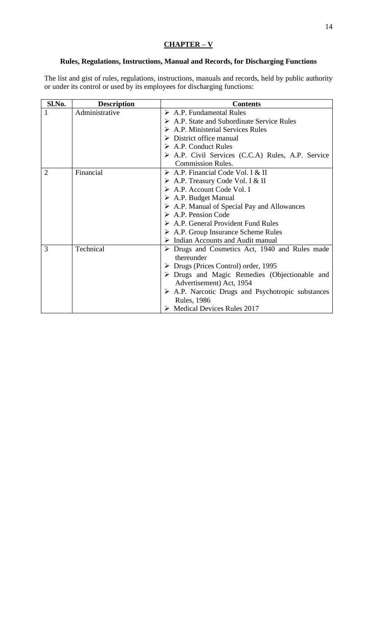# **CHAPTER – V**

## **Rules, Regulations, Instructions, Manual and Records, for Discharging Functions**

The list and gist of rules, regulations, instructions, manuals and records, held by public authority or under its control or used by its employees for discharging functions:

| Sl.No.         | <b>Description</b> | <b>Contents</b>                                                             |  |
|----------------|--------------------|-----------------------------------------------------------------------------|--|
|                | Administrative     | $\triangleright$ A.P. Fundamental Rules                                     |  |
|                |                    | $\triangleright$ A.P. State and Subordinate Service Rules                   |  |
|                |                    | $\triangleright$ A.P. Ministerial Services Rules                            |  |
|                |                    | $\triangleright$ District office manual                                     |  |
|                |                    | $\triangleright$ A.P. Conduct Rules                                         |  |
|                |                    | A.P. Civil Services (C.C.A) Rules, A.P. Service                             |  |
|                |                    | <b>Commission Rules.</b>                                                    |  |
| $\overline{2}$ | Financial          | $\triangleright$ A.P. Financial Code Vol. I & II                            |  |
|                |                    | $\triangleright$ A.P. Treasury Code Vol. I & II                             |  |
|                |                    | $\triangleright$ A.P. Account Code Vol. I                                   |  |
|                |                    | $\triangleright$ A.P. Budget Manual                                         |  |
|                |                    | $\triangleright$ A.P. Manual of Special Pay and Allowances                  |  |
|                |                    | $\triangleright$ A.P. Pension Code                                          |  |
|                |                    | $\triangleright$ A.P. General Provident Fund Rules                          |  |
|                |                    | $\triangleright$ A.P. Group Insurance Scheme Rules                          |  |
|                |                    | $\triangleright$ Indian Accounts and Audit manual                           |  |
| 3              | Technical          | $\triangleright$ Drugs and Cosmetics Act, 1940 and Rules made<br>thereunder |  |
|                |                    | $\triangleright$ Drugs (Prices Control) order, 1995                         |  |
|                |                    | > Drugs and Magic Remedies (Objectionable and                               |  |
|                |                    | Advertisement) Act, 1954                                                    |  |
|                |                    | $\triangleright$ A.P. Narcotic Drugs and Psychotropic substances            |  |
|                |                    | <b>Rules</b> , 1986                                                         |  |
|                |                    | $\triangleright$ Medical Devices Rules 2017                                 |  |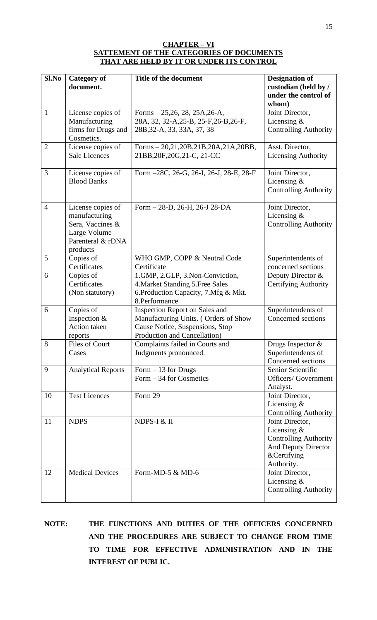#### **CHAPTER – VI SATTEMENT OF THE CATEGORIES OF DOCUMENTS THAT ARE HELD BY IT OR UNDER ITS CONTROL**

| Sl.No          | <b>Category of</b>                                                                                      | Title of the document                                                                                                                     | <b>Designation of</b>                                                                                                |
|----------------|---------------------------------------------------------------------------------------------------------|-------------------------------------------------------------------------------------------------------------------------------------------|----------------------------------------------------------------------------------------------------------------------|
|                | document.                                                                                               |                                                                                                                                           | custodian (held by /<br>under the control of<br>whom)                                                                |
| 1              | License copies of                                                                                       | Forms $-25,26,28,25A,26-A,$                                                                                                               | Joint Director,                                                                                                      |
|                | Manufacturing                                                                                           | 28A, 32, 32-A, 25-B, 25-F, 26-B, 26-F,                                                                                                    | Licensing $\&$                                                                                                       |
|                | firms for Drugs and<br>Cosmetics.                                                                       | 28B, 32-A, 33, 33A, 37, 38                                                                                                                | <b>Controlling Authority</b>                                                                                         |
| $\overline{2}$ | License copies of<br><b>Sale Licences</b>                                                               | Forms - 20,21,20B,21B,20A,21A,20BB,<br>21BB, 20F, 20G, 21-C, 21-CC                                                                        | Asst. Director,<br><b>Licensing Authority</b>                                                                        |
| 3              | License copies of<br><b>Blood Banks</b>                                                                 | Form -28C, 26-G, 26-I, 26-J, 28-E, 28-F                                                                                                   | Joint Director,<br>Licensing $\&$<br><b>Controlling Authority</b>                                                    |
| $\overline{4}$ | License copies of<br>manufacturing<br>Sera, Vaccines &<br>Large Volume<br>Parenteral & rDNA<br>products | Form - 28-D, 26-H, 26-J 28-DA                                                                                                             | Joint Director,<br>Licensing $&$<br><b>Controlling Authority</b>                                                     |
| 5              | Copies of<br>Certificates                                                                               | WHO GMP, COPP & Neutral Code<br>Certificate                                                                                               | Superintendents of<br>concerned sections                                                                             |
| 6              | Copies of<br>Certificates<br>(Non statutory)                                                            | 1.GMP, 2.GLP, 3.Non-Conviction,<br>4. Market Standing 5. Free Sales<br>6. Production Capacity, 7. Mfg & Mkt.<br>8.Performance             | Deputy Director &<br><b>Certifying Authority</b>                                                                     |
| 6              | Copies of<br>Inspection &<br>Action taken<br>reports                                                    | Inspection Report on Sales and<br>Manufacturing Units. (Orders of Show<br>Cause Notice, Suspensions, Stop<br>Production and Cancellation) | Superintendents of<br>Concerned sections                                                                             |
| 8              | Files of Court<br>Cases                                                                                 | Complaints failed in Courts and<br>Judgments pronounced.                                                                                  | Drugs Inspector &<br>Superintendents of<br>Concerned sections                                                        |
| 9              | <b>Analytical Reports</b>                                                                               | Form $-13$ for Drugs<br>Form $-34$ for Cosmetics                                                                                          | Senior Scientific<br><b>Officers/Government</b><br>Analyst.                                                          |
| 10             | <b>Test Licences</b>                                                                                    | Form 29                                                                                                                                   | Joint Director,<br>Licensing &<br><b>Controlling Authority</b>                                                       |
| 11             | <b>NDPS</b>                                                                                             | NDPS-I & II                                                                                                                               | Joint Director,<br>Licensing $&$<br><b>Controlling Authority</b><br>And Deputy Director<br>&Certifying<br>Authority. |
| 12             | <b>Medical Devices</b>                                                                                  | Form-MD-5 & MD-6                                                                                                                          | Joint Director,<br>Licensing $&$<br><b>Controlling Authority</b>                                                     |

**NOTE: THE FUNCTIONS AND DUTIES OF THE OFFICERS CONCERNED AND THE PROCEDURES ARE SUBJECT TO CHANGE FROM TIME TO TIME FOR EFFECTIVE ADMINISTRATION AND IN THE INTEREST OF PUBLIC.**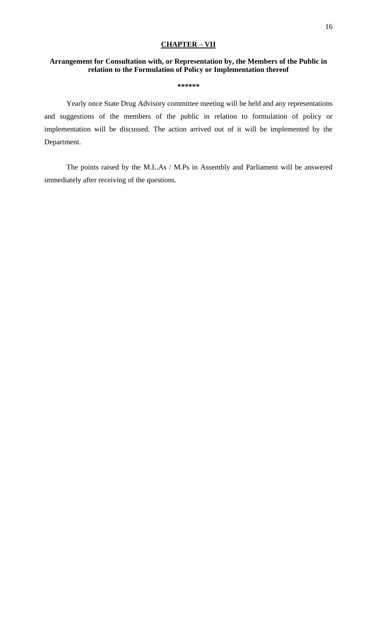## **CHAPTER – VII**

## **Arrangement for Consultation with, or Representation by, the Members of the Public in relation to the Formulation of Policy or Implementation thereof**

**\*\*\*\*\*\***

Yearly once State Drug Advisory committee meeting will be held and any representations and suggestions of the members of the public in relation to formulation of policy or implementation will be discussed. The action arrived out of it will be implemented by the Department.

The points raised by the M.L.As / M.Ps in Assembly and Parliament will be answered immediately after receiving of the questions.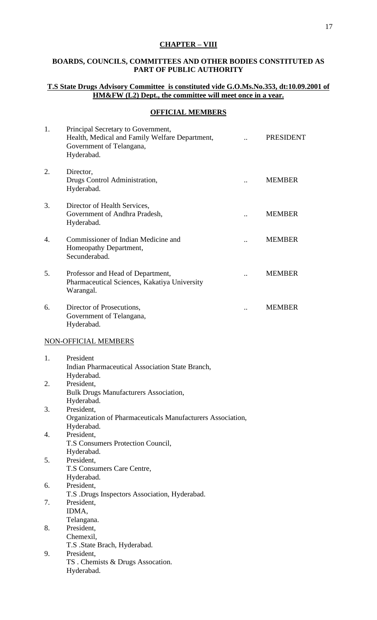# **CHAPTER – VIII**

# **BOARDS, COUNCILS, COMMITTEES AND OTHER BODIES CONSTITUTED AS PART OF PUBLIC AUTHORITY**

# **T.S State Drugs Advisory Committee is constituted vide G.O.Ms.No.353, dt:10.09.2001 of HM&FW (L2) Dept., the committee will meet once in a year.**

## **OFFICIAL MEMBERS**

| 1. | Principal Secretary to Government,<br>Health, Medical and Family Welfare Department,<br>Government of Telangana,<br>Hyderabad. | <b>PRESIDENT</b> |
|----|--------------------------------------------------------------------------------------------------------------------------------|------------------|
| 2. | Director,<br>Drugs Control Administration,<br>Hyderabad.                                                                       | <b>MEMBER</b>    |
| 3. | Director of Health Services,<br>Government of Andhra Pradesh,<br>Hyderabad.                                                    | <b>MEMBER</b>    |
| 4. | Commissioner of Indian Medicine and<br>Homeopathy Department,<br>Secunderabad.                                                 | <b>MEMBER</b>    |
| 5. | Professor and Head of Department,<br>Pharmaceutical Sciences, Kakatiya University<br>Warangal.                                 | <b>MEMBER</b>    |
| 6. | Director of Prosecutions,<br>Government of Telangana,<br>Hyderabad.                                                            | <b>MEMBER</b>    |
|    | NON-OFFICIAL MEMBERS                                                                                                           |                  |
| 1. | President<br>Indian Pharmaceutical Association State Branch,                                                                   |                  |
| 2. | Hyderabad.<br>President,<br><b>Bulk Drugs Manufacturers Association,</b><br>Hyderabad.                                         |                  |
| 3. | President,<br>Organization of Pharmaceuticals Manufacturers Association,<br>Hyderabad.                                         |                  |
| 4. | President,<br>T.S Consumers Protection Council,<br>Hyderabad.                                                                  |                  |
| 5. | President,<br>T.S Consumers Care Centre,<br>Hyderabad.                                                                         |                  |
| 6. | President,<br>T.S .Drugs Inspectors Association, Hyderabad.                                                                    |                  |
| 7. | President,<br>IDMA,                                                                                                            |                  |
| 8. | Telangana.<br>President,<br>Chemexil,<br>T.S .State Brach, Hyderabad.                                                          |                  |
| 9. | President,<br>TS. Chemists & Drugs Assocation.<br>Hyderabad.                                                                   |                  |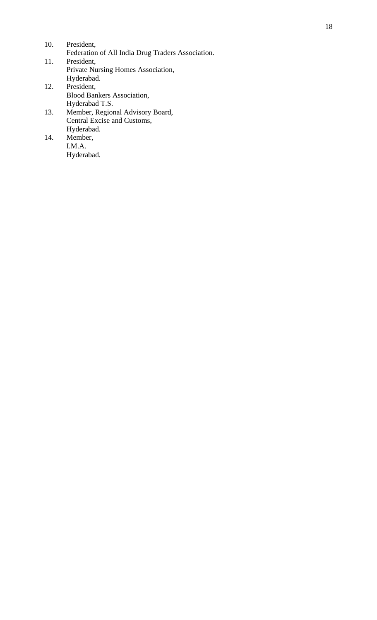| 10. | President,                                                                           |
|-----|--------------------------------------------------------------------------------------|
|     | Federation of All India Drug Traders Association.                                    |
| 11. | President,                                                                           |
|     | Private Nursing Homes Association,                                                   |
|     | Hyderabad.                                                                           |
| 12. | President,                                                                           |
|     | $\mathbf{D1}$ . $\mathbf{1} \mathbf{D}$ . $\mathbf{1}$ . $\mathbf{L}$ . $\mathbf{A}$ |

- Blood Bankers Association, Hyderabad T.S.
- 13. Member, Regional Advisory Board, Central Excise and Customs, Hyderabad.
- 14. Member, I.M.A. Hyderabad.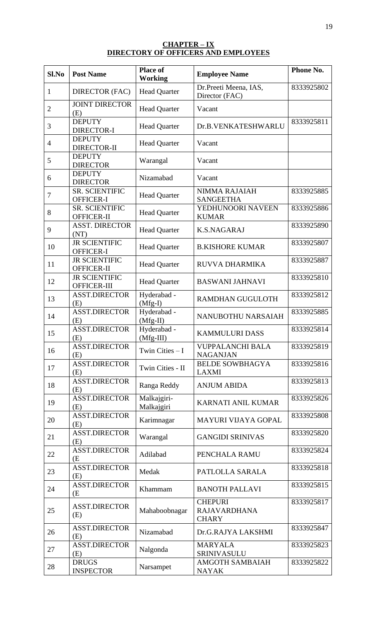#### **CHAPTER – IX DIRECTORY OF OFFICERS AND EMPLOYEES**

| $Sl$ .No       | <b>Post Name</b>                    | <b>Place of</b><br><b>Working</b> | <b>Employee Name</b>                                  | Phone No.  |
|----------------|-------------------------------------|-----------------------------------|-------------------------------------------------------|------------|
| 1              | <b>DIRECTOR (FAC)</b>               | <b>Head Quarter</b>               | Dr.Preeti Meena, IAS,<br>Director (FAC)               | 8333925802 |
| $\overline{2}$ | <b>JOINT DIRECTOR</b><br>(E)        | <b>Head Quarter</b>               | Vacant                                                |            |
| 3              | <b>DEPUTY</b><br><b>DIRECTOR-I</b>  | <b>Head Quarter</b>               | Dr.B.VENKATESHWARLU                                   | 8333925811 |
| $\overline{4}$ | <b>DEPUTY</b><br><b>DIRECTOR-II</b> | <b>Head Quarter</b>               | Vacant                                                |            |
| 5              | <b>DEPUTY</b><br><b>DIRECTOR</b>    | Warangal                          | Vacant                                                |            |
| 6              | <b>DEPUTY</b><br><b>DIRECTOR</b>    | Nizamabad                         | Vacant                                                |            |
| 7              | <b>SR. SCIENTIFIC</b><br>OFFICER-I  | <b>Head Quarter</b>               | NIMMA RAJAIAH<br><b>SANGEETHA</b>                     | 8333925885 |
| 8              | <b>SR. SCIENTIFIC</b><br>OFFICER-II | <b>Head Quarter</b>               | YEDHUNOORI NAVEEN<br><b>KUMAR</b>                     | 8333925886 |
| 9              | <b>ASST. DIRECTOR</b><br>(NT)       | <b>Head Quarter</b>               | <b>K.S.NAGARAJ</b>                                    | 8333925890 |
| 10             | <b>JR SCIENTIFIC</b><br>OFFICER-I   | <b>Head Quarter</b>               | <b>B.KISHORE KUMAR</b>                                | 8333925807 |
| 11             | <b>JR SCIENTIFIC</b><br>OFFICER-II  | <b>Head Quarter</b>               | RUVVA DHARMIKA                                        | 8333925887 |
| 12             | <b>JR SCIENTIFIC</b><br>OFFICER-III | <b>Head Quarter</b>               | <b>BASWANI JAHNAVI</b>                                | 8333925810 |
| 13             | <b>ASST.DIRECTOR</b><br>(E)         | Hyderabad -<br>$(Mfg-I)$          | RAMDHAN GUGULOTH                                      | 8333925812 |
| 14             | <b>ASST.DIRECTOR</b><br>(E)         | Hyderabad -<br>$(Mfg-II)$         | NANUBOTHU NARSAIAH                                    | 8333925885 |
| 15             | <b>ASST.DIRECTOR</b><br>(E)         | Hyderabad -<br>$(Mfg-III)$        | <b>KAMMULURI DASS</b>                                 | 8333925814 |
| 16             | <b>ASST.DIRECTOR</b><br>(E)         | Twin Cities $-I$                  | <b>VUPPALANCHI BALA</b><br><b>NAGANJAN</b>            | 8333925819 |
| 17             | <b>ASST.DIRECTOR</b><br>(E)         | Twin Cities - II                  | <b>BELDE SOWBHAGYA</b><br><b>LAXMI</b>                | 8333925816 |
| 18             | <b>ASST.DIRECTOR</b><br>(E)         | Ranga Reddy                       | <b>ANJUM ABIDA</b>                                    | 8333925813 |
| 19             | <b>ASST.DIRECTOR</b><br>(E)         | Malkajgiri-<br>Malkajgiri         | KARNATI ANIL KUMAR                                    | 8333925826 |
| 20             | <b>ASST.DIRECTOR</b><br>(E)         | Karimnagar                        | <b>MAYURI VIJAYA GOPAL</b>                            | 8333925808 |
| 21             | <b>ASST.DIRECTOR</b><br>(E)         | Warangal                          | <b>GANGIDI SRINIVAS</b>                               | 8333925820 |
| 22             | <b>ASST.DIRECTOR</b><br>(E          | Adilabad                          | PENCHALA RAMU                                         | 8333925824 |
| 23             | <b>ASST.DIRECTOR</b><br>(E)         | Medak                             | PATLOLLA SARALA                                       | 8333925818 |
| 24             | <b>ASST.DIRECTOR</b><br>(E          | Khammam                           | <b>BANOTH PALLAVI</b>                                 | 8333925815 |
| 25             | <b>ASST.DIRECTOR</b><br>(E)         | Mahaboobnagar                     | <b>CHEPURI</b><br><b>RAJAVARDHANA</b><br><b>CHARY</b> | 8333925817 |
| 26             | <b>ASST.DIRECTOR</b><br>(E)         | Nizamabad                         | Dr.G.RAJYA LAKSHMI                                    | 8333925847 |
| 27             | <b>ASST.DIRECTOR</b><br>(E)         | Nalgonda                          | <b>MARYALA</b><br>SRINIVASULU                         | 8333925823 |
| 28             | <b>DRUGS</b><br><b>INSPECTOR</b>    | Narsampet                         | <b>AMGOTH SAMBAIAH</b><br><b>NAYAK</b>                | 8333925822 |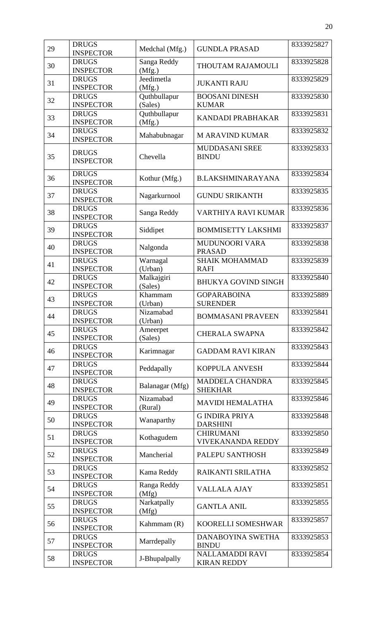| 29 | <b>DRUGS</b><br><b>INSPECTOR</b> | Medchal (Mfg.)          | <b>GUNDLA PRASAD</b>                         | 8333925827 |
|----|----------------------------------|-------------------------|----------------------------------------------|------------|
| 30 | <b>DRUGS</b><br><b>INSPECTOR</b> | Sanga Reddy<br>(Mfg.)   | THOUTAM RAJAMOULI                            | 8333925828 |
| 31 | <b>DRUGS</b><br><b>INSPECTOR</b> | Jeedimetla<br>(Mfg.)    | <b>JUKANTI RAJU</b>                          | 8333925829 |
| 32 | <b>DRUGS</b><br><b>INSPECTOR</b> | Quthbullapur<br>(Sales) | <b>BOOSANI DINESH</b><br><b>KUMAR</b>        | 8333925830 |
| 33 | <b>DRUGS</b><br><b>INSPECTOR</b> | Quthbullapur<br>(Mfg.)  | KANDADI PRABHAKAR                            | 8333925831 |
| 34 | <b>DRUGS</b><br><b>INSPECTOR</b> | Mahabubnagar            | <b>M ARAVIND KUMAR</b>                       | 8333925832 |
| 35 | <b>DRUGS</b><br><b>INSPECTOR</b> | Chevella                | MUDDASANI SREE<br><b>BINDU</b>               | 8333925833 |
| 36 | <b>DRUGS</b><br><b>INSPECTOR</b> | Kothur (Mfg.)           | <b>B.LAKSHMINARAYANA</b>                     | 8333925834 |
| 37 | <b>DRUGS</b><br><b>INSPECTOR</b> | Nagarkurnool            | <b>GUNDU SRIKANTH</b>                        | 8333925835 |
| 38 | <b>DRUGS</b><br><b>INSPECTOR</b> | Sanga Reddy             | VARTHIYA RAVI KUMAR                          | 8333925836 |
| 39 | <b>DRUGS</b><br><b>INSPECTOR</b> | Siddipet                | <b>BOMMISETTY LAKSHMI</b>                    | 8333925837 |
| 40 | <b>DRUGS</b><br><b>INSPECTOR</b> | Nalgonda                | MUDUNOORI VARA<br><b>PRASAD</b>              | 8333925838 |
| 41 | <b>DRUGS</b><br><b>INSPECTOR</b> | Warnagal<br>(Urban)     | <b>SHAIK MOHAMMAD</b><br><b>RAFI</b>         | 8333925839 |
| 42 | <b>DRUGS</b><br><b>INSPECTOR</b> | Malkajgiri<br>(Sales)   | <b>BHUKYA GOVIND SINGH</b>                   | 8333925840 |
| 43 | <b>DRUGS</b><br><b>INSPECTOR</b> | Khammam<br>(Urban)      | <b>GOPARABOINA</b><br><b>SURENDER</b>        | 8333925889 |
| 44 | <b>DRUGS</b><br><b>INSPECTOR</b> | Nizamabad<br>(Urban)    | <b>BOMMASANI PRAVEEN</b>                     | 8333925841 |
| 45 | <b>DRUGS</b><br><b>INSPECTOR</b> | Ameerpet<br>(Sales)     | <b>CHERALA SWAPNA</b>                        | 8333925842 |
| 46 | <b>DRUGS</b><br><b>INSPECTOR</b> | Karimnagar              | <b>GADDAM RAVI KIRAN</b>                     | 8333925843 |
| 47 | <b>DRUGS</b><br><b>INSPECTOR</b> | Peddapally              | <b>KOPPULA ANVESH</b>                        | 8333925844 |
| 48 | <b>DRUGS</b><br><b>INSPECTOR</b> | Balanagar (Mfg)         | <b>MADDELA CHANDRA</b><br><b>SHEKHAR</b>     | 8333925845 |
| 49 | <b>DRUGS</b><br><b>INSPECTOR</b> | Nizamabad<br>(Rural)    | <b>MAVIDI HEMALATHA</b>                      | 8333925846 |
| 50 | <b>DRUGS</b><br><b>INSPECTOR</b> | Wanaparthy              | <b>G INDIRA PRIYA</b><br><b>DARSHINI</b>     | 8333925848 |
| 51 | <b>DRUGS</b><br><b>INSPECTOR</b> | Kothagudem              | <b>CHIRUMANI</b><br><b>VIVEKANANDA REDDY</b> | 8333925850 |
| 52 | <b>DRUGS</b><br><b>INSPECTOR</b> | Mancherial              | PALEPU SANTHOSH                              | 8333925849 |
| 53 | <b>DRUGS</b><br><b>INSPECTOR</b> | Kama Reddy              | RAIKANTI SRILATHA                            | 8333925852 |
| 54 | <b>DRUGS</b><br><b>INSPECTOR</b> | Ranga Reddy<br>(Mfg)    | <b>VALLALA AJAY</b>                          | 8333925851 |
| 55 | <b>DRUGS</b><br><b>INSPECTOR</b> | Narkatpally<br>(Mfg)    | <b>GANTLA ANIL</b>                           | 8333925855 |
| 56 | <b>DRUGS</b><br><b>INSPECTOR</b> | Kahmmam (R)             | KOORELLI SOMESHWAR                           | 8333925857 |
| 57 | <b>DRUGS</b><br><b>INSPECTOR</b> | Marrdepally             | DANABOYINA SWETHA<br><b>BINDU</b>            | 8333925853 |
| 58 | <b>DRUGS</b><br><b>INSPECTOR</b> | J-Bhupalpally           | <b>NALLAMADDI RAVI</b><br><b>KIRAN REDDY</b> | 8333925854 |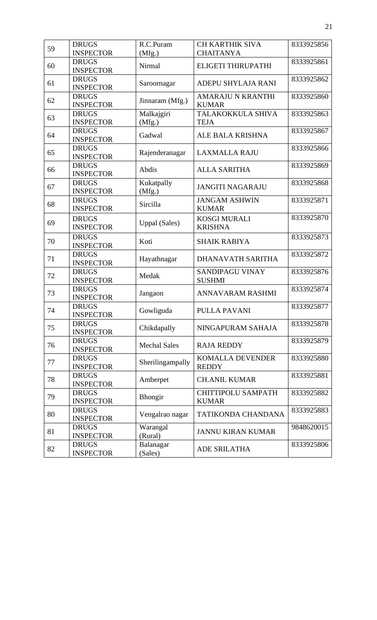| 59 | <b>DRUGS</b>                     | R.C.Puram            | <b>CH KARTHIK SIVA</b>                   | 8333925856 |
|----|----------------------------------|----------------------|------------------------------------------|------------|
|    | <b>INSPECTOR</b>                 | (Mfg.)               | <b>CHAITANYA</b>                         |            |
| 60 | <b>DRUGS</b><br><b>INSPECTOR</b> | Nirmal               | ELIGETI THIRUPATHI                       | 8333925861 |
| 61 | <b>DRUGS</b><br><b>INSPECTOR</b> | Saroornagar          | ADEPU SHYLAJA RANI                       | 8333925862 |
| 62 | <b>DRUGS</b><br><b>INSPECTOR</b> | Jinnaram (Mfg.)      | <b>AMARAJU N KRANTHI</b><br><b>KUMAR</b> | 8333925860 |
| 63 | <b>DRUGS</b><br><b>INSPECTOR</b> | Malkajgiri<br>(Mfg.) | TALAKOKKULA SHIVA<br><b>TEJA</b>         | 8333925863 |
| 64 | <b>DRUGS</b><br><b>INSPECTOR</b> | Gadwal               | <b>ALE BALA KRISHNA</b>                  | 8333925867 |
| 65 | <b>DRUGS</b><br><b>INSPECTOR</b> | Rajenderanagar       | <b>LAXMALLA RAJU</b>                     | 8333925866 |
| 66 | <b>DRUGS</b><br><b>INSPECTOR</b> | Abdis                | <b>ALLA SARITHA</b>                      | 8333925869 |
| 67 | <b>DRUGS</b><br><b>INSPECTOR</b> | Kukatpally<br>(Mfg.) | <b>JANGITI NAGARAJU</b>                  | 8333925868 |
| 68 | <b>DRUGS</b><br><b>INSPECTOR</b> | Sircilla             | <b>JANGAM ASHWIN</b><br><b>KUMAR</b>     | 8333925871 |
| 69 | <b>DRUGS</b><br><b>INSPECTOR</b> | <b>Uppal</b> (Sales) | <b>KOSGI MURALI</b><br><b>KRISHNA</b>    | 8333925870 |
| 70 | <b>DRUGS</b><br><b>INSPECTOR</b> | Koti                 | <b>SHAIK RABIYA</b>                      | 8333925873 |
| 71 | <b>DRUGS</b><br><b>INSPECTOR</b> | Hayathnagar          | DHANAVATH SARITHA                        | 8333925872 |
| 72 | <b>DRUGS</b><br><b>INSPECTOR</b> | Medak                | SANDIPAGU VINAY<br><b>SUSHMI</b>         | 8333925876 |
| 73 | <b>DRUGS</b><br><b>INSPECTOR</b> | Jangaon              | ANNAVARAM RASHMI                         | 8333925874 |
| 74 | <b>DRUGS</b><br><b>INSPECTOR</b> | Gowliguda            | PULLA PAVANI                             | 8333925877 |
| 75 | <b>DRUGS</b><br><b>INSPECTOR</b> | Chikdapally          | NINGAPURAM SAHAJA                        | 8333925878 |
| 76 | <b>DRUGS</b><br><b>INSPECTOR</b> | <b>Mechal Sales</b>  | <b>RAJA REDDY</b>                        | 8333925879 |
| 77 | <b>DRUGS</b><br><b>INSPECTOR</b> | Sherilingampally     | KOMALLA DEVENDER<br><b>REDDY</b>         | 8333925880 |
| 78 | <b>DRUGS</b><br><b>INSPECTOR</b> | Amberpet             | <b>CH.ANIL KUMAR</b>                     | 8333925881 |
| 79 | <b>DRUGS</b><br><b>INSPECTOR</b> | Bhongir              | CHITTIPOLU SAMPATH<br><b>KUMAR</b>       | 8333925882 |
| 80 | <b>DRUGS</b><br><b>INSPECTOR</b> | Vengalrao nagar      | TATIKONDA CHANDANA                       | 8333925883 |
| 81 | <b>DRUGS</b><br><b>INSPECTOR</b> | Warangal<br>(Rural)  | <b>JANNU KIRAN KUMAR</b>                 | 9848620015 |
| 82 | <b>DRUGS</b><br><b>INSPECTOR</b> | Balanagar<br>(Sales) | ADE SRILATHA                             | 8333925806 |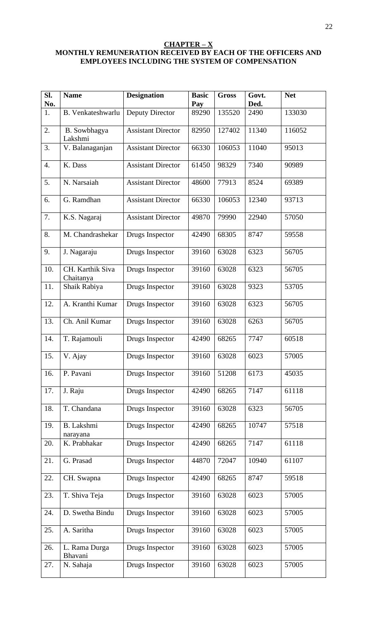#### **CHAPTER – X MONTHLY REMUNERATION RECEIVED BY EACH OF THE OFFICERS AND EMPLOYEES INCLUDING THE SYSTEM OF COMPENSATION**

| Sl.<br>No. | <b>Name</b>                   | <b>Designation</b>        | <b>Basic</b><br>Pay | <b>Gross</b> | Govt.<br>Ded. | <b>Net</b> |
|------------|-------------------------------|---------------------------|---------------------|--------------|---------------|------------|
| 1.         | B. Venkateshwarlu             | Deputy Director           | 89290               | 135520       | 2490          | 133030     |
| 2.         | B. Sowbhagya<br>Lakshmi       | <b>Assistant Director</b> | 82950               | 127402       | 11340         | 116052     |
| 3.         | V. Balanaganjan               | <b>Assistant Director</b> | 66330               | 106053       | 11040         | 95013      |
| 4.         | K. Dass                       | <b>Assistant Director</b> | 61450               | 98329        | 7340          | 90989      |
| 5.         | N. Narsaiah                   | <b>Assistant Director</b> | 48600               | 77913        | 8524          | 69389      |
| 6.         | G. Ramdhan                    | <b>Assistant Director</b> | 66330               | 106053       | 12340         | 93713      |
| 7.         | K.S. Nagaraj                  | <b>Assistant Director</b> | 49870               | 79990        | 22940         | 57050      |
| 8.         | M. Chandrashekar              | Drugs Inspector           | 42490               | 68305        | 8747          | 59558      |
| 9.         | J. Nagaraju                   | Drugs Inspector           | 39160               | 63028        | 6323          | 56705      |
| 10.        | CH. Karthik Siva<br>Chaitanya | Drugs Inspector           | 39160               | 63028        | 6323          | 56705      |
| 11.        | Shaik Rabiya                  | Drugs Inspector           | 39160               | 63028        | 9323          | 53705      |
| 12.        | A. Kranthi Kumar              | Drugs Inspector           | 39160               | 63028        | 6323          | 56705      |
| 13.        | Ch. Anil Kumar                | Drugs Inspector           | 39160               | 63028        | 6263          | 56705      |
| 14.        | T. Rajamouli                  | Drugs Inspector           | 42490               | 68265        | 7747          | 60518      |
| 15.        | V. Ajay                       | Drugs Inspector           | 39160               | 63028        | 6023          | 57005      |
| 16.        | P. Pavani                     | Drugs Inspector           | 39160               | 51208        | 6173          | 45035      |
| 17.        | J. Raju                       | Drugs Inspector           | 42490               | 68265        | 7147          | 61118      |
| 18.        | T. Chandana                   | Drugs Inspector           | 39160               | 63028        | 6323          | 56705      |
| 19.        | B. Lakshmi<br>narayana        | Drugs Inspector           | 42490               | 68265        | 10747         | 57518      |
| 20.        | K. Prabhakar                  | Drugs Inspector           | 42490               | 68265        | 7147          | 61118      |
| 21.        | G. Prasad                     | Drugs Inspector           | 44870               | 72047        | 10940         | 61107      |
| 22.        | CH. Swapna                    | Drugs Inspector           | 42490               | 68265        | 8747          | 59518      |
| 23.        | T. Shiva Teja                 | Drugs Inspector           | 39160               | 63028        | 6023          | 57005      |
| 24.        | D. Swetha Bindu               | Drugs Inspector           | 39160               | 63028        | 6023          | 57005      |
| 25.        | A. Saritha                    | Drugs Inspector           | 39160               | 63028        | 6023          | 57005      |
| 26.        | L. Rama Durga<br>Bhavani      | Drugs Inspector           | 39160               | 63028        | 6023          | 57005      |
| 27.        | N. Sahaja                     | Drugs Inspector           | 39160               | 63028        | 6023          | 57005      |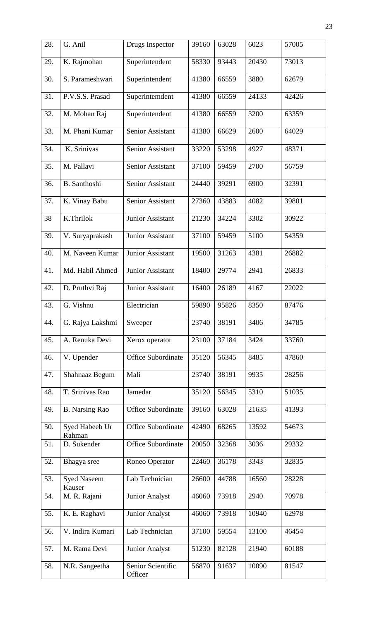| 28. | G. Anil                      | Drugs Inspector              | 39160 | 63028 | 6023  | 57005 |
|-----|------------------------------|------------------------------|-------|-------|-------|-------|
| 29. | K. Rajmohan                  | Superintendent               | 58330 | 93443 | 20430 | 73013 |
| 30. | S. Parameshwari              | Superintendent               | 41380 | 66559 | 3880  | 62679 |
| 31. | P.V.S.S. Prasad              | Superintemdent               | 41380 | 66559 | 24133 | 42426 |
| 32. | M. Mohan Raj                 | Superintendent               | 41380 | 66559 | 3200  | 63359 |
| 33. | M. Phani Kumar               | Senior Assistant             | 41380 | 66629 | 2600  | 64029 |
| 34. | K. Srinivas                  | Senior Assistant             | 33220 | 53298 | 4927  | 48371 |
| 35. | M. Pallavi                   | Senior Assistant             | 37100 | 59459 | 2700  | 56759 |
| 36. | B. Santhoshi                 | <b>Senior Assistant</b>      | 24440 | 39291 | 6900  | 32391 |
| 37. | K. Vinay Babu                | <b>Senior Assistant</b>      | 27360 | 43883 | 4082  | 39801 |
| 38  | K.Thrilok                    | <b>Junior Assistant</b>      | 21230 | 34224 | 3302  | 30922 |
| 39. | V. Suryaprakash              | Junior Assistant             | 37100 | 59459 | 5100  | 54359 |
| 40. | M. Naveen Kumar              | <b>Junior Assistant</b>      | 19500 | 31263 | 4381  | 26882 |
| 41. | Md. Habil Ahmed              | Junior Assistant             | 18400 | 29774 | 2941  | 26833 |
| 42. | D. Pruthvi Raj               | Junior Assistant             | 16400 | 26189 | 4167  | 22022 |
| 43. | G. Vishnu                    | Electrician                  | 59890 | 95826 | 8350  | 87476 |
| 44. | G. Rajya Lakshmi             | Sweeper                      | 23740 | 38191 | 3406  | 34785 |
| 45. | A. Renuka Devi               | Xerox operator               | 23100 | 37184 | 3424  | 33760 |
| 46. | V. Upender                   | <b>Office Subordinate</b>    | 35120 | 56345 | 8485  | 47860 |
| 47. | Shahnaaz Begum               | Mali                         | 23740 | 38191 | 9935  | 28256 |
| 48. | T. Srinivas Rao              | Jamedar                      | 35120 | 56345 | 5310  | 51035 |
| 49. | <b>B.</b> Narsing Rao        | <b>Office Subordinate</b>    | 39160 | 63028 | 21635 | 41393 |
| 50. | Syed Habeeb Ur<br>Rahman     | <b>Office Subordinate</b>    | 42490 | 68265 | 13592 | 54673 |
| 51. | D. Sukender                  | <b>Office Subordinate</b>    | 20050 | 32368 | 3036  | 29332 |
| 52. | Bhagya sree                  | Roneo Operator               | 22460 | 36178 | 3343  | 32835 |
| 53. | <b>Syed Naseem</b><br>Kauser | Lab Technician               | 26600 | 44788 | 16560 | 28228 |
| 54. | M. R. Rajani                 | Junior Analyst               | 46060 | 73918 | 2940  | 70978 |
| 55. | K. E. Raghavi                | <b>Junior Analyst</b>        | 46060 | 73918 | 10940 | 62978 |
| 56. | V. Indira Kumari             | Lab Technician               | 37100 | 59554 | 13100 | 46454 |
| 57. | M. Rama Devi                 | <b>Junior Analyst</b>        | 51230 | 82128 | 21940 | 60188 |
| 58. | N.R. Sangeetha               | Senior Scientific<br>Officer | 56870 | 91637 | 10090 | 81547 |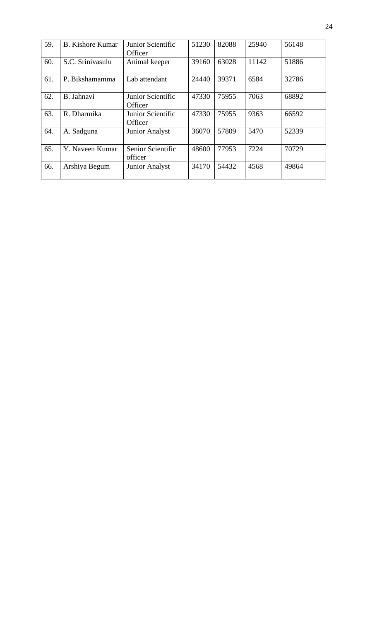| 59. | <b>B.</b> Kishore Kumar | Junior Scientific<br>Officer | 51230 | 82088 | 25940 | 56148 |
|-----|-------------------------|------------------------------|-------|-------|-------|-------|
| 60. | S.C. Srinivasulu        | Animal keeper                | 39160 | 63028 | 11142 | 51886 |
| 61. | P. Bikshamamma          | Lab attendant                | 24440 | 39371 | 6584  | 32786 |
| 62. | B. Jahnavi              | Junior Scientific<br>Officer | 47330 | 75955 | 7063  | 68892 |
| 63. | R. Dharmika             | Junior Scientific<br>Officer | 47330 | 75955 | 9363  | 66592 |
| 64. | A. Sadguna              | <b>Junior Analyst</b>        | 36070 | 57809 | 5470  | 52339 |
| 65. | Y. Naveen Kumar         | Senior Scientific<br>officer | 48600 | 77953 | 7224  | 70729 |
| 66. | Arshiya Begum           | <b>Junior Analyst</b>        | 34170 | 54432 | 4568  | 49864 |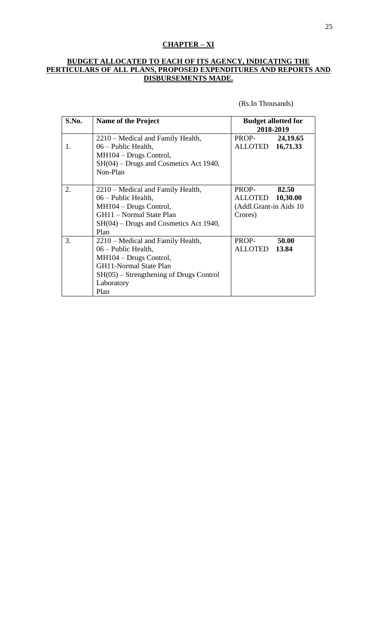# **CHAPTER – XI**

#### **BUDGET ALLOCATED TO EACH OF ITS AGENCY, INDICATING THE PERTICULARS OF ALL PLANS, PROPOSED EXPENDITURES AND REPORTS AND DISBURSEMENTS MADE.**

(Rs.In Thousands)

| S.No. | <b>Name of the Project</b>                | <b>Budget allotted for</b><br>2018-2019 |          |
|-------|-------------------------------------------|-----------------------------------------|----------|
|       | 2210 – Medical and Family Health,         | PROP-                                   | 24,19.65 |
| 1.    | 06 – Public Health,                       | ALLOTED 16,71.33                        |          |
|       | MH104 - Drugs Control,                    |                                         |          |
|       | $SH(04)$ – Drugs and Cosmetics Act 1940,  |                                         |          |
|       | Non-Plan                                  |                                         |          |
|       |                                           |                                         |          |
| 2.    | 2210 – Medical and Family Health,         | PROP-                                   | 82.50    |
|       | $06$ – Public Health,                     | ALLOTED 10,30.00                        |          |
|       | MH104 – Drugs Control,                    | (Addl.Grant-in Aids 10                  |          |
|       | GH11 - Normal State Plan                  | Crores)                                 |          |
|       | $SH(04)$ – Drugs and Cosmetics Act 1940,  |                                         |          |
|       | Plan                                      |                                         |          |
| 3.    | 2210 – Medical and Family Health,         | PROP-                                   | 50.00    |
|       | 06 – Public Health,                       | ALLOTED 13.84                           |          |
|       | $MH104 - Drugs Control,$                  |                                         |          |
|       | <b>GH11-Normal State Plan</b>             |                                         |          |
|       | $SH(05) - Strengthening of Drugs Control$ |                                         |          |
|       | Laboratory                                |                                         |          |
|       | Plan                                      |                                         |          |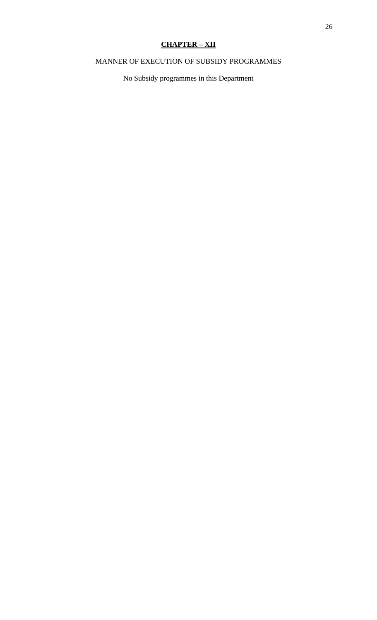# **CHAPTER – XII**

# MANNER OF EXECUTION OF SUBSIDY PROGRAMMES

No Subsidy programmes in this Department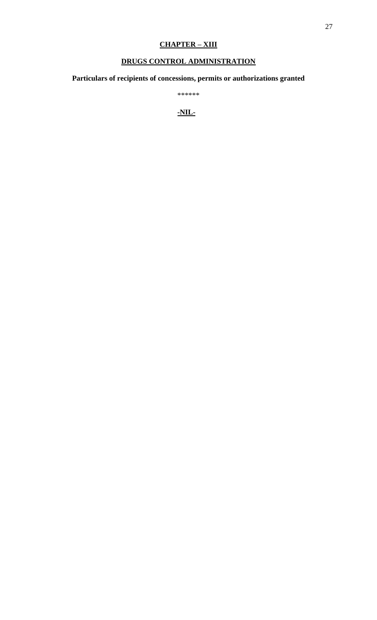# **CHAPTER – XIII**

# **DRUGS CONTROL ADMINISTRATION**

**Particulars of recipients of concessions, permits or authorizations granted**

\*\*\*\*\*\*

**-NIL-**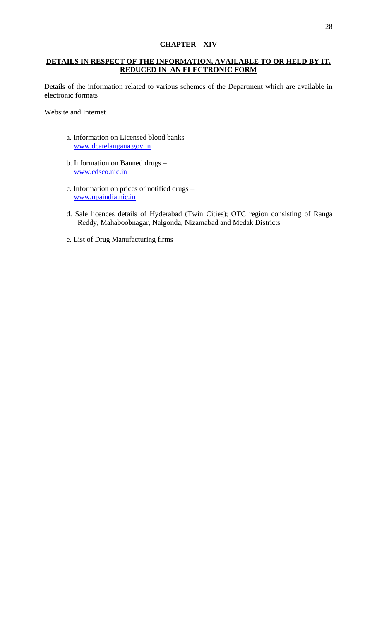# **CHAPTER – XIV**

## **DETAILS IN RESPECT OF THE INFORMATION, AVAILABLE TO OR HELD BY IT, REDUCED IN AN ELECTRONIC FORM**

Details of the information related to various schemes of the Department which are available in electronic formats

Website and Internet

- a. Information on Licensed blood banks [www.dcatelangana.gov.in](http://www.aponline.gov.in/)
- b. Information on Banned drugs [www.cdsco.nic.in](http://www.cdsco.nic.in/)
- c. Information on prices of notified drugs [www.npaindia.nic.in](http://www.npaindia.nic.in/)
- d. Sale licences details of Hyderabad (Twin Cities); OTC region consisting of Ranga Reddy, Mahaboobnagar, Nalgonda, Nizamabad and Medak Districts
- e. List of Drug Manufacturing firms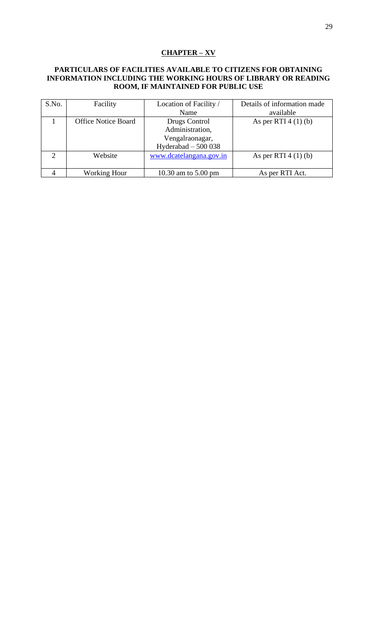# **CHAPTER – XV**

#### **PARTICULARS OF FACILITIES AVAILABLE TO CITIZENS FOR OBTAINING INFORMATION INCLUDING THE WORKING HOURS OF LIBRARY OR READING ROOM, IF MAINTAINED FOR PUBLIC USE**

| S.No.                       | Facility                   | Location of Facility /  | Details of information made |
|-----------------------------|----------------------------|-------------------------|-----------------------------|
|                             |                            | Name                    | available                   |
|                             | <b>Office Notice Board</b> | Drugs Control           | As per RTI $4(1)(b)$        |
|                             |                            | Administration,         |                             |
|                             |                            | Vengalraonagar,         |                             |
|                             |                            | Hyderabad $-500038$     |                             |
| $\mathcal{D}_{\mathcal{L}}$ | Website                    | www.dcatelangana.gov.in | As per RTI $4(1)(b)$        |
|                             |                            |                         |                             |
|                             | <b>Working Hour</b>        | 10.30 am to 5.00 pm     | As per RTI Act.             |